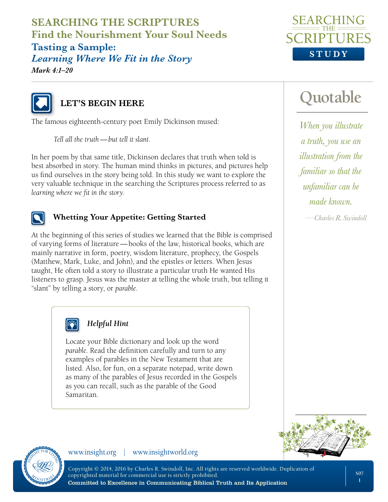**SEARCHING THE SCRIPTURES Find the Nourishment Your Soul Needs Tasting a Sample:**  *Learning Where We Fit in the Story Mark 4:1–20*





## **LET'S BEGIN HERE**

The famous eighteenth-century poet Emily Dickinson mused:

*Tell all the truth—but tell it slant.*

In her poem by that same title, Dickinson declares that truth when told is best absorbed in story. The human mind thinks in pictures, and pictures help us find ourselves in the story being told. In this study we want to explore the very valuable technique in the searching the Scriptures process referred to as *learning where we fit in the story*.



#### **Whetting Your Appetite: Getting Started**

At the beginning of this series of studies we learned that the Bible is comprised of varying forms of literature—books of the law, historical books, which are mainly narrative in form, poetry, wisdom literature, prophecy, the Gospels (Matthew, Mark, Luke, and John), and the epistles or letters. When Jesus taught, He often told a story to illustrate a particular truth He wanted His listeners to grasp. Jesus was the master at telling the whole truth, but telling it "slant" by telling a story, or *parable*.



#### *Helpful Hint*

Locate your Bible dictionary and look up the word *parable*. Read the definition carefully and turn to any examples of parables in the New Testament that are listed. Also, for fun, on a separate notepad, write down as many of the parables of Jesus recorded in the Gospels as you can recall, such as the parable of the Good Samaritan.

# **Quotable**

*When you illustrate a truth, you use an illustration from the familiar so that the unfamiliar can be made known.*

*—Charles R. Swindoll*





www.insight.org | www.insightworld.org

Copyright © 2014, 2016 by Charles R. Swindoll, Inc. All rights are reserved worldwide. Duplication of copyrighted material for commercial use is strictly prohibited. Committed to Excellence in Communicating Biblical Truth and Its Application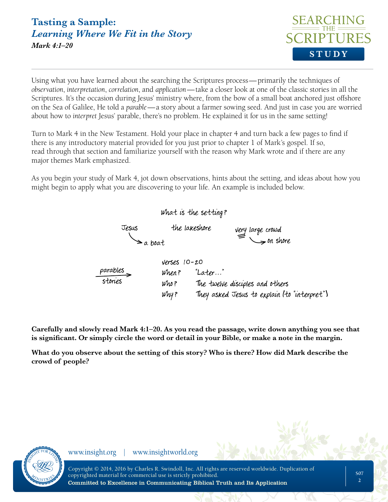## **Tasting a Sample:**  *Learning Where We Fit in the Story Mark 4:1–20*



Using what you have learned about the searching the Scriptures process—primarily the techniques of *observation*, *interpretation*, *correlation*, and *application*—take a closer look at one of the classic stories in all the Scriptures. It's the occasion during Jesus' ministry where, from the bow of a small boat anchored just offshore on the Sea of Galilee, He told a *parable*—a story about a farmer sowing seed. And just in case you are worried about how to *interpret* Jesus' parable, there's no problem. He explained it for us in the same setting!

Turn to Mark 4 in the New Testament. Hold your place in chapter 4 and turn back a few pages to find if there is any introductory material provided for you just prior to chapter 1 of Mark's gospel. If so, read through that section and familiarize yourself with the reason why Mark wrote and if there are any major themes Mark emphasized.

As you begin your study of Mark 4, jot down observations, hints about the setting, and ideas about how you might begin to apply what you are discovering to your life. An example is included below.



**Carefully and slowly read Mark 4:1–20. As you read the passage, write down anything you see that is significant. Or simply circle the word or detail in your Bible, or make a note in the margin.**

**What do you observe about the setting of this story? Who is there? How did Mark describe the crowd of people?** 

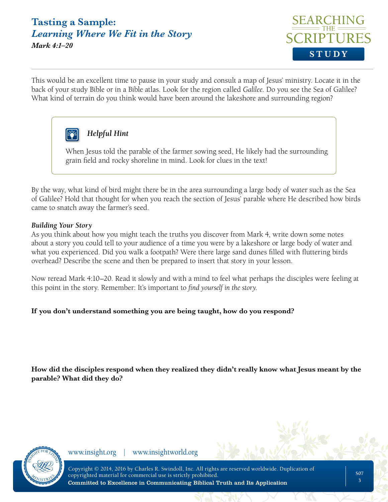### **Tasting a Sample:**  *Learning Where We Fit in the Story Mark 4:1–20*



This would be an excellent time to pause in your study and consult a map of Jesus' ministry. Locate it in the back of your study Bible or in a Bible atlas. Look for the region called *Galilee*. Do you see the Sea of Galilee? What kind of terrain do you think would have been around the lakeshore and surrounding region?



### *Helpful Hint*

When Jesus told the parable of the farmer sowing seed, He likely had the surrounding grain field and rocky shoreline in mind. Look for clues in the text!

By the way, what kind of bird might there be in the area surrounding a large body of water such as the Sea of Galilee? Hold that thought for when you reach the section of Jesus' parable where He described how birds came to snatch away the farmer's seed.

#### *Building Your Story*

As you think about how you might teach the truths you discover from Mark 4, write down some notes about a story you could tell to your audience of a time you were by a lakeshore or large body of water and what you experienced. Did you walk a footpath? Were there large sand dunes filled with fluttering birds overhead? Describe the scene and then be prepared to insert that story in your lesson.

Now reread Mark 4:10–20. Read it slowly and with a mind to feel what perhaps the disciples were feeling at this point in the story. Remember: It's important to *find yourself in the story*.

#### **If you don't understand something you are being taught, how do you respond?**

**How did the disciples respond when they realized they didn't really know what Jesus meant by the parable? What did they do?** 

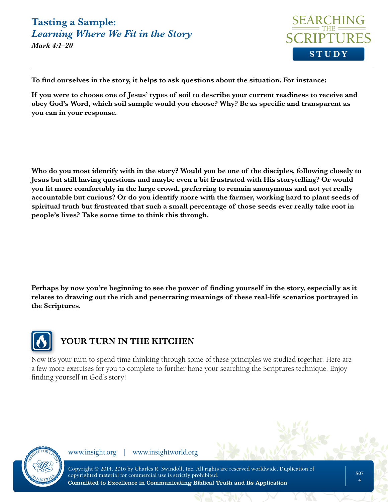## **Tasting a Sample:**  *Learning Where We Fit in the Story*



*Mark 4:1–20*

**To find ourselves in the story, it helps to ask questions about the situation. For instance:** 

**If you were to choose one of Jesus' types of soil to describe your current readiness to receive and obey God's Word, which soil sample would you choose? Why? Be as specific and transparent as you can in your response.** 

**Who do you most identify with in the story? Would you be one of the disciples, following closely to Jesus but still having questions and maybe even a bit frustrated with His storytelling? Or would you fit more comfortably in the large crowd, preferring to remain anonymous and not yet really accountable but curious? Or do you identify more with the farmer, working hard to plant seeds of spiritual truth but frustrated that such a small percentage of those seeds ever really take root in people's lives? Take some time to think this through.** 

**Perhaps by now you're beginning to see the power of finding yourself in the story, especially as it relates to drawing out the rich and penetrating meanings of these real-life scenarios portrayed in the Scriptures.** 



## **YOUR TURN IN THE KITCHEN**

Now it's your turn to spend time thinking through some of these principles we studied together. Here are a few more exercises for you to complete to further hone your searching the Scriptures technique. Enjoy finding yourself in God's story!

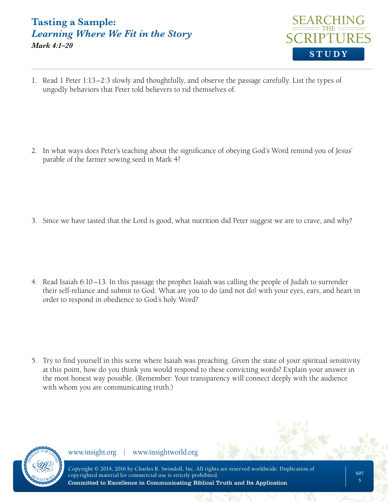### **Tasting a Sample:**  *Learning Where We Fit in the Story Mark 4:1–20*



1. Read 1 Peter 1:13–2:3 slowly and thoughtfully, and observe the passage carefully. List the types of ungodly behaviors that Peter told believers to rid themselves of.

2. In what ways does Peter's teaching about the significance of obeying God's Word remind you of Jesus' parable of the farmer sowing seed in Mark 4?

3. Since we have tasted that the Lord is good, what nutrition did Peter suggest we are to crave, and why?

4. Read Isaiah 6:10–13. In this passage the prophet Isaiah was calling the people of Judah to surrender their self-reliance and submit to God. What are you to do (and not do) with your eyes, ears, and heart in order to respond in obedience to God's holy Word?

5. Try to find yourself in this scene where Isaiah was preaching. Given the state of your spiritual sensitivity at this point, how do you think you would respond to these convicting words? Explain your answer in the most honest way possible. (Remember: Your transparency will connect deeply with the audience with whom you are communicating truth.)

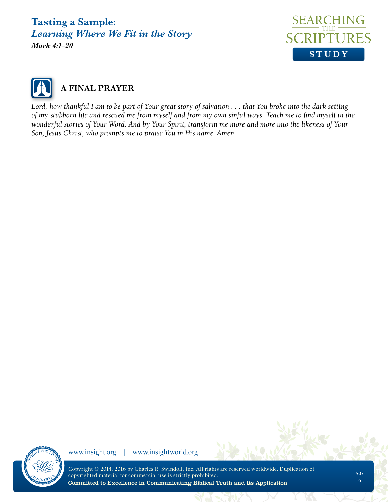## **Tasting a Sample:**  *Learning Where We Fit in the Story*

*Mark 4:1–20*





*Lord, how thankful I am to be part of Your great story of salvation . . . that You broke into the dark setting of my stubborn life and rescued me from myself and from my own sinful ways. Teach me to find myself in the wonderful stories of Your Word. And by Your Spirit, transform me more and more into the likeness of Your Son, Jesus Christ, who prompts me to praise You in His name. Amen.*



www.insight.org | www.insightworld.org

Copyright © 2014, 2016 by Charles R. Swindoll, Inc. All rights are reserved worldwide. Duplication of copyrighted material for commercial use is strictly prohibited. Committed to Excellence in Communicating Biblical Truth and Its Application